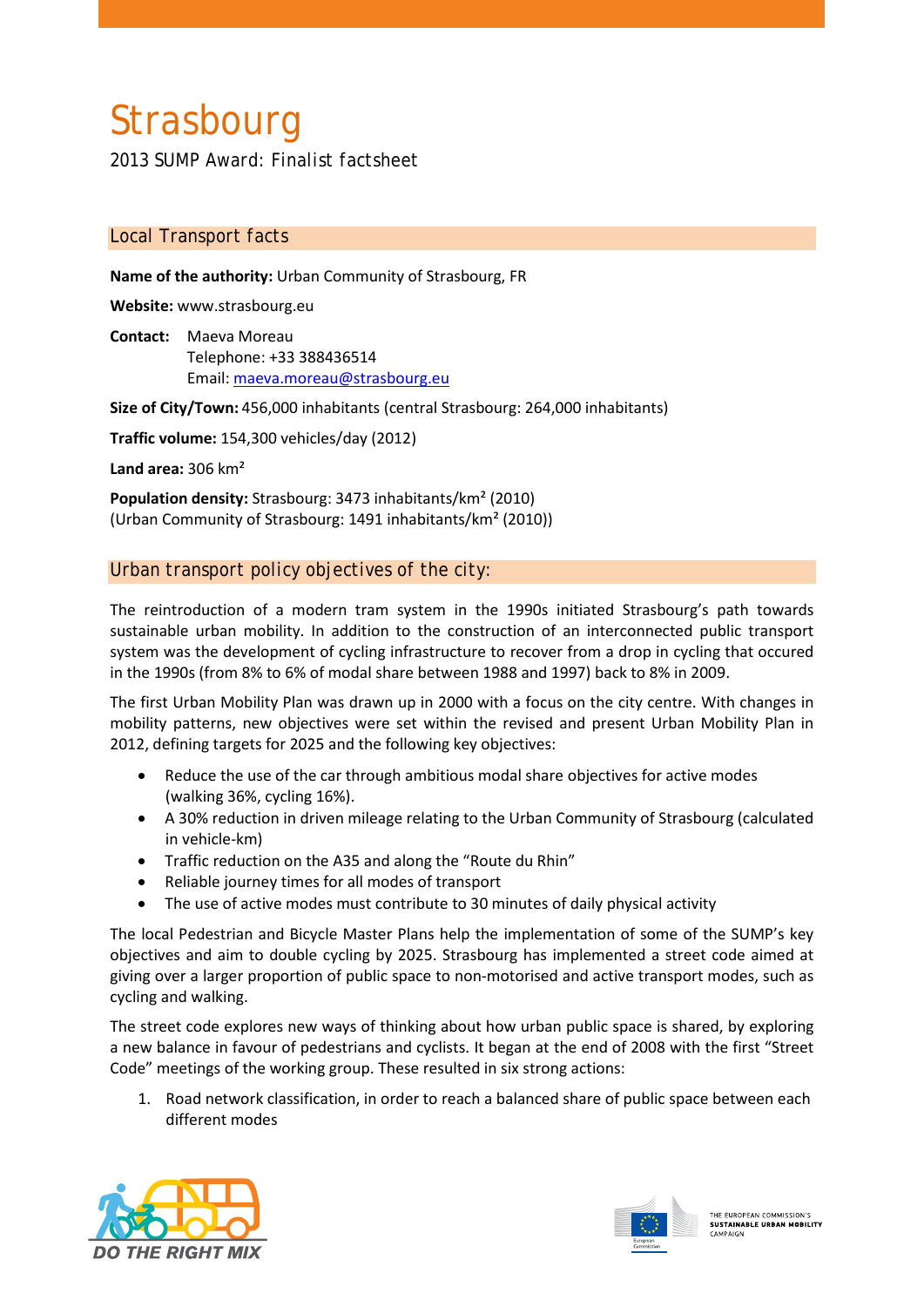# **Strasbourg**

*2013 SUMP Award: Finalist factsheet*

## *Local Transport facts*

**Name of the authority:** Urban Community of Strasbourg, FR

**Website:** www.strasbourg.eu

**Contact:** Maeva Moreau Telephone: +33 388436514 Email: maeva.moreau@strasbourg.eu

**Size of City/Town:** 456,000 inhabitants (central Strasbourg: 264,000 inhabitants)

**Traffic volume:** 154,300 vehicles/day (2012)

**Land area:** 306 km²

**Population density:** Strasbourg: 3473 inhabitants/km² (2010) (Urban Community of Strasbourg: 1491 inhabitants/km² (2010))

## *Urban transport policy objectives of the city:*

The reintroduction of a modern tram system in the 1990s initiated Strasbourg's path towards sustainable urban mobility. In addition to the construction of an interconnected public transport system was the development of cycling infrastructure to recover from a drop in cycling that occured in the 1990s (from 8% to 6% of modal share between 1988 and 1997) back to 8% in 2009.

The first Urban Mobility Plan was drawn up in 2000 with a focus on the city centre. With changes in mobility patterns, new objectives were set within the revised and present Urban Mobility Plan in 2012, defining targets for 2025 and the following key objectives:

- Reduce the use of the car through ambitious modal share objectives for active modes (walking 36%, cycling 16%).
- A 30% reduction in driven mileage relating to the Urban Community of Strasbourg (calculated in vehicle-km)
- Traffic reduction on the A35 and along the "Route du Rhin"
- Reliable journey times for all modes of transport
- The use of active modes must contribute to 30 minutes of daily physical activity

The local Pedestrian and Bicycle Master Plans help the implementation of some of the SUMP's key objectives and aim to double cycling by 2025. Strasbourg has implemented a street code aimed at giving over a larger proportion of public space to non-motorised and active transport modes, such as cycling and walking.

The street code explores new ways of thinking about how urban public space is shared, by exploring a new balance in favour of pedestrians and cyclists. It began at the end of 2008 with the first "Street Code" meetings of the working group. These resulted in six strong actions:

1. Road network classification, in order to reach a balanced share of public space between each different modes



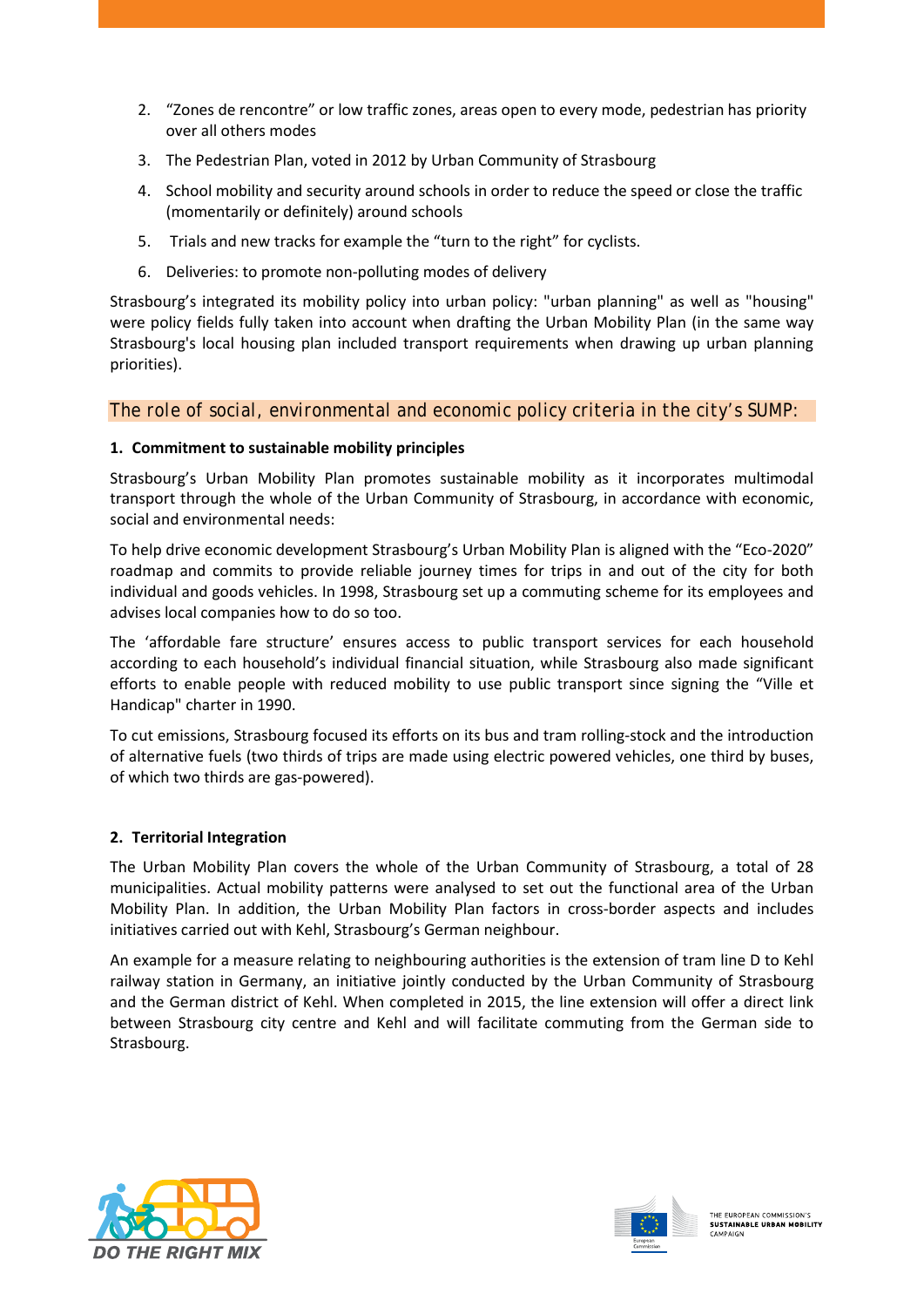- 2. "Zones de rencontre" or low traffic zones, areas open to every mode, pedestrian has priority over all others modes
- 3. The Pedestrian Plan, voted in 2012 by Urban Community of Strasbourg
- 4. School mobility and security around schools in order to reduce the speed or close the traffic (momentarily or definitely) around schools
- 5. Trials and new tracks for example the "turn to the right" for cyclists.
- 6. Deliveries: to promote non-polluting modes of delivery

Strasbourg's integrated its mobility policy into urban policy: "urban planning" as well as "housing" were policy fields fully taken into account when drafting the Urban Mobility Plan (in the same way Strasbourg's local housing plan included transport requirements when drawing up urban planning priorities).

## *The role of social, environmental and economic policy criteria in the city's SUMP:*

#### **1. Commitment to sustainable mobility principles**

Strasbourg's Urban Mobility Plan promotes sustainable mobility as it incorporates multimodal transport through the whole of the Urban Community of Strasbourg, in accordance with economic, social and environmental needs:

To help drive economic development Strasbourg's Urban Mobility Plan is aligned with the "Eco-2020" roadmap and commits to provide reliable journey times for trips in and out of the city for both individual and goods vehicles. In 1998, Strasbourg set up a commuting scheme for its employees and advises local companies how to do so too.

The 'affordable fare structure' ensures access to public transport services for each household according to each household's individual financial situation, while Strasbourg also made significant efforts to enable people with reduced mobility to use public transport since signing the "Ville et Handicap" charter in 1990.

To cut emissions, Strasbourg focused its efforts on its bus and tram rolling-stock and the introduction of alternative fuels (two thirds of trips are made using electric powered vehicles, one third by buses, of which two thirds are gas-powered).

#### **2. Territorial Integration**

The Urban Mobility Plan covers the whole of the Urban Community of Strasbourg, a total of 28 municipalities. Actual mobility patterns were analysed to set out the functional area of the Urban Mobility Plan. In addition, the Urban Mobility Plan factors in cross-border aspects and includes initiatives carried out with Kehl, Strasbourg's German neighbour.

An example for a measure relating to neighbouring authorities is the extension of tram line D to Kehl railway station in Germany, an initiative jointly conducted by the Urban Community of Strasbourg and the German district of Kehl. When completed in 2015, the line extension will offer a direct link between Strasbourg city centre and Kehl and will facilitate commuting from the German side to Strasbourg.



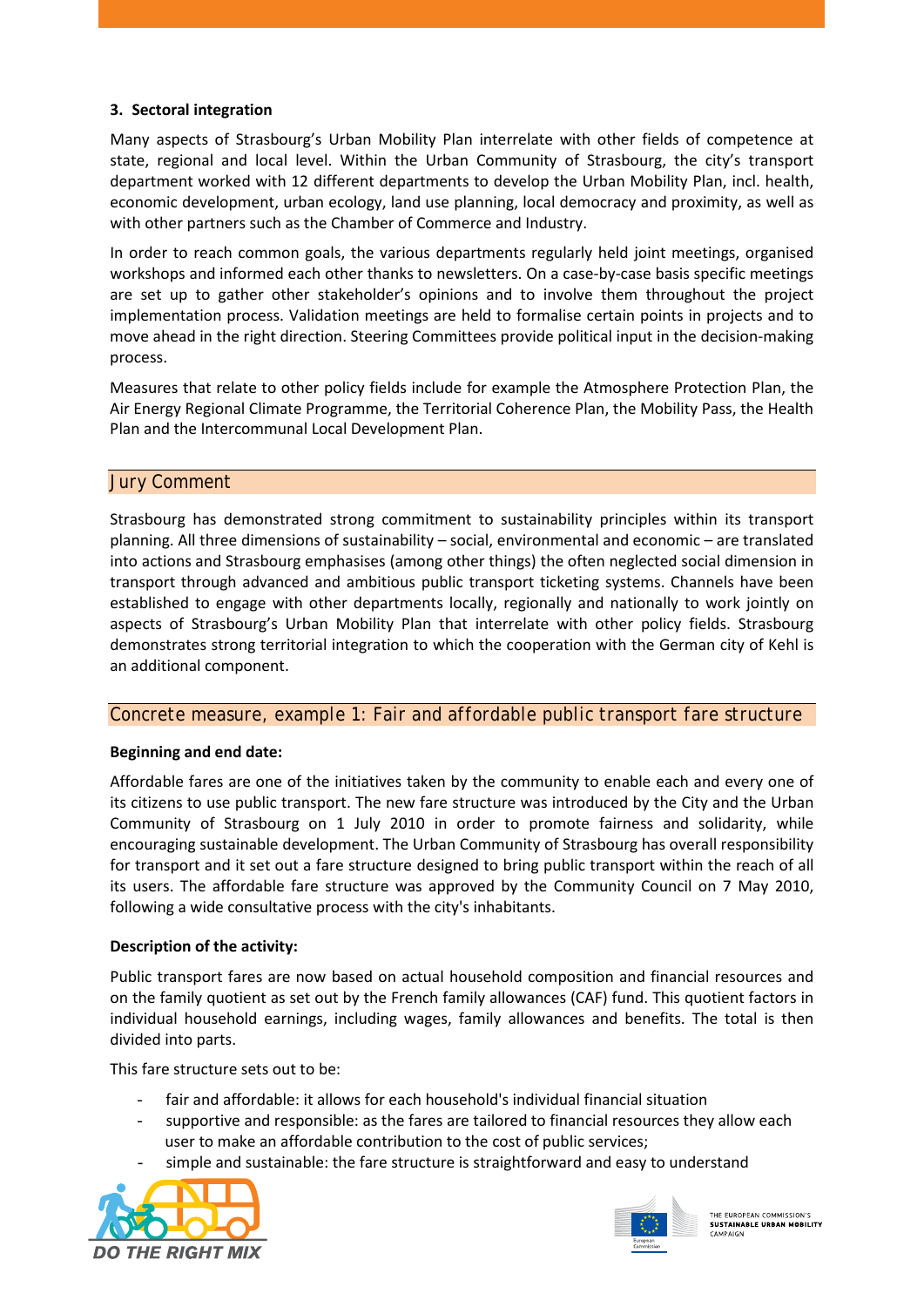#### **3. Sectoral integration**

Many aspects of Strasbourg's Urban Mobility Plan interrelate with other fields of competence at state, regional and local level. Within the Urban Community of Strasbourg, the city's transport department worked with 12 different departments to develop the Urban Mobility Plan, incl. health, economic development, urban ecology, land use planning, local democracy and proximity, as well as with other partners such as the Chamber of Commerce and Industry.

In order to reach common goals, the various departments regularly held joint meetings, organised workshops and informed each other thanks to newsletters. On a case-by-case basis specific meetings are set up to gather other stakeholder's opinions and to involve them throughout the project implementation process. Validation meetings are held to formalise certain points in projects and to move ahead in the right direction. Steering Committees provide political input in the decision-making process.

Measures that relate to other policy fields include for example the Atmosphere Protection Plan, the Air Energy Regional Climate Programme, the Territorial Coherence Plan, the Mobility Pass, the Health Plan and the Intercommunal Local Development Plan.

## *Jury Comment*

Strasbourg has demonstrated strong commitment to sustainability principles within its transport planning. All three dimensions of sustainability – social, environmental and economic – are translated into actions and Strasbourg emphasises (among other things) the often neglected social dimension in transport through advanced and ambitious public transport ticketing systems. Channels have been established to engage with other departments locally, regionally and nationally to work jointly on aspects of Strasbourg's Urban Mobility Plan that interrelate with other policy fields. Strasbourg demonstrates strong territorial integration to which the cooperation with the German city of Kehl is an additional component.

#### *Concrete measure, example 1: Fair and affordable public transport fare structure*

#### **Beginning and end date:**

Affordable fares are one of the initiatives taken by the community to enable each and every one of its citizens to use public transport. The new fare structure was introduced by the City and the Urban Community of Strasbourg on 1 July 2010 in order to promote fairness and solidarity, while encouraging sustainable development. The Urban Community of Strasbourg has overall responsibility for transport and it set out a fare structure designed to bring public transport within the reach of all its users. The affordable fare structure was approved by the Community Council on 7 May 2010, following a wide consultative process with the city's inhabitants.

#### **Description of the activity:**

Public transport fares are now based on actual household composition and financial resources and on the family quotient as set out by the French family allowances (CAF) fund. This quotient factors in individual household earnings, including wages, family allowances and benefits. The total is then divided into parts.

This fare structure sets out to be:

- fair and affordable: it allows for each household's individual financial situation
- supportive and responsible: as the fares are tailored to financial resources they allow each user to make an affordable contribution to the cost of public services;
- simple and sustainable: the fare structure is straightforward and easy to understand





THE EUROPEAN COMMISSION'S THE EUROPEAN COMMISSION S<br>SUSTAINABLE URBAN MOBILITY CAMPAIGN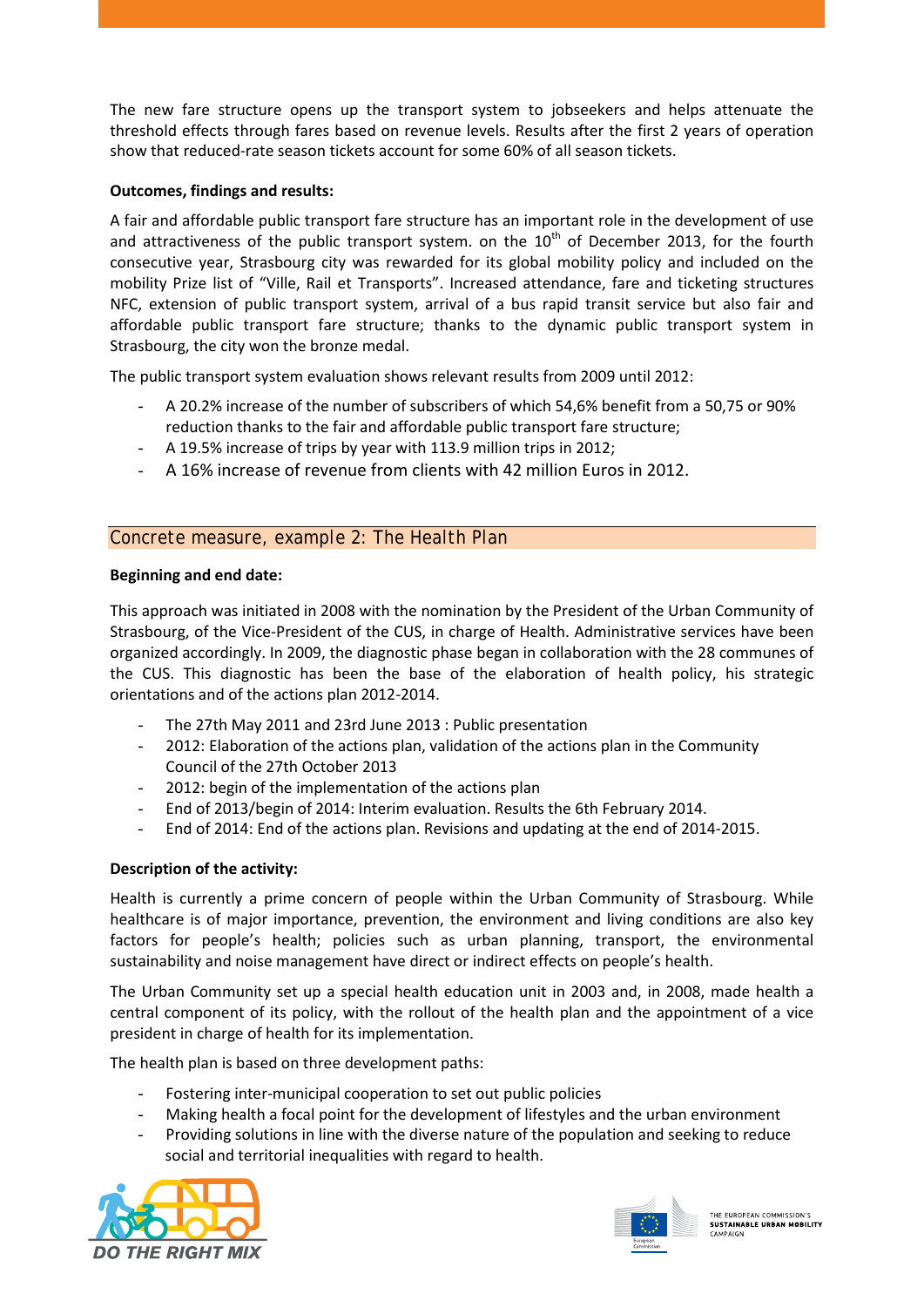The new fare structure opens up the transport system to jobseekers and helps attenuate the threshold effects through fares based on revenue levels. Results after the first 2 years of operation show that reduced-rate season tickets account for some 60% of all season tickets.

### **Outcomes, findings and results:**

A fair and affordable public transport fare structure has an important role in the development of use and attractiveness of the public transport system. on the  $10<sup>th</sup>$  of December 2013, for the fourth consecutive year, Strasbourg city was rewarded for its global mobility policy and included on the mobility Prize list of "Ville, Rail et Transports". Increased attendance, fare and ticketing structures NFC, extension of public transport system, arrival of a bus rapid transit service but also fair and affordable public transport fare structure; thanks to the dynamic public transport system in Strasbourg, the city won the bronze medal.

The public transport system evaluation shows relevant results from 2009 until 2012:

- A 20.2% increase of the number of subscribers of which 54,6% benefit from a 50,75 or 90% reduction thanks to the fair and affordable public transport fare structure;
- A 19.5% increase of trips by year with 113.9 million trips in 2012;
- A 16% increase of revenue from clients with 42 million Euros in 2012.

## *Concrete measure, example 2: The Health Plan*

#### **Beginning and end date:**

This approach was initiated in 2008 with the nomination by the President of the Urban Community of Strasbourg, of the Vice-President of the CUS, in charge of Health. Administrative services have been organized accordingly. In 2009, the diagnostic phase began in collaboration with the 28 communes of the CUS. This diagnostic has been the base of the elaboration of health policy, his strategic orientations and of the actions plan 2012-2014.

- The 27th May 2011 and 23rd June 2013 : Public presentation
- 2012: Elaboration of the actions plan, validation of the actions plan in the Community Council of the 27th October 2013
- 2012: begin of the implementation of the actions plan
- End of 2013/begin of 2014: Interim evaluation. Results the 6th February 2014.
- End of 2014: End of the actions plan. Revisions and updating at the end of 2014-2015.

#### **Description of the activity:**

Health is currently a prime concern of people within the Urban Community of Strasbourg. While healthcare is of major importance, prevention, the environment and living conditions are also key factors for people's health; policies such as urban planning, transport, the environmental sustainability and noise management have direct or indirect effects on people's health.

The Urban Community set up a special health education unit in 2003 and, in 2008, made health a central component of its policy, with the rollout of the health plan and the appointment of a vice president in charge of health for its implementation.

The health plan is based on three development paths:

- Fostering inter-municipal cooperation to set out public policies
- Making health a focal point for the development of lifestyles and the urban environment
- Providing solutions in line with the diverse nature of the population and seeking to reduce social and territorial inequalities with regard to health.





HE EUROPEAN COMMISSION'S THE EUROPEAN COMMISSION S<br>SUSTAINABLE URBAN MOBILITY CAMPAIGN